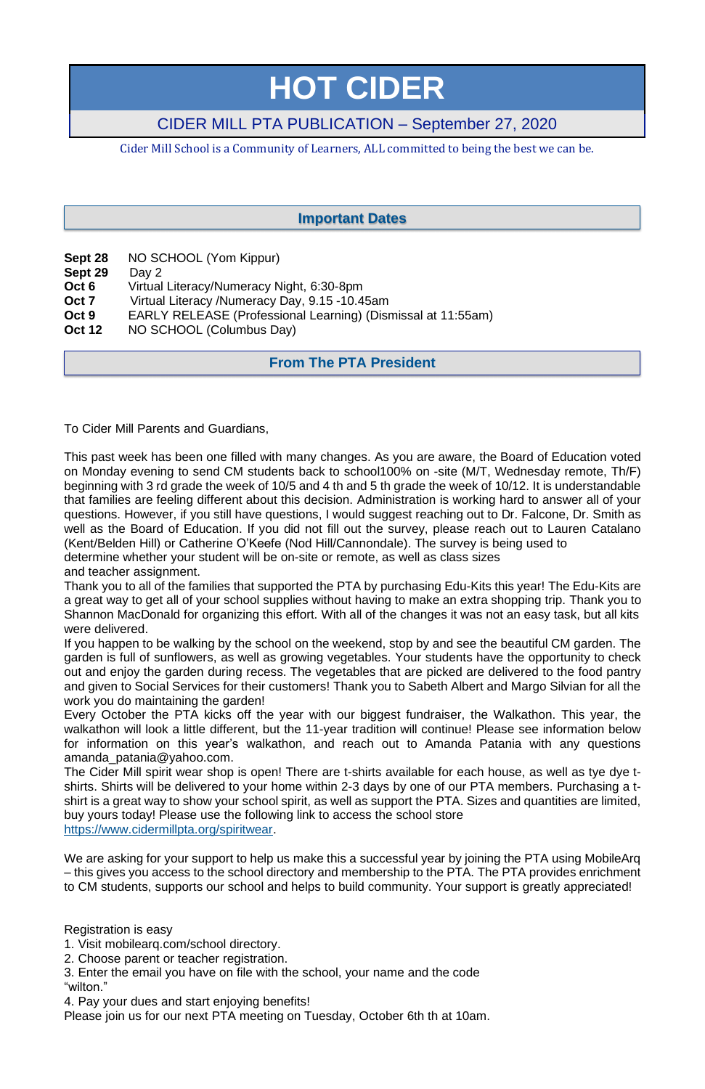# **HOT CIDER**

# CIDER MILL PTA PUBLICATION – September 27, 2020

Cider Mill School is a Community of Learners, ALL committed to being the best we can be.

- **Sept 28** NO SCHOOL (Yom Kippur)
- **Sept 29** Day 2
- **Oct 6** Virtual Literacy/Numeracy Night, 6:30-8pm
- **Oct 7** Virtual Literacy /Numeracy Day, 9.15 -10.45am
- **Oct 9** EARLY RELEASE (Professional Learning) (Dismissal at 11:55am)
- **Oct 12** NO SCHOOL (Columbus Day)

To Cider Mill Parents and Guardians,

This past week has been one filled with many changes. As you are aware, the Board of Education voted on Monday evening to send CM students back to school100% on -site (M/T, Wednesday remote, Th/F) beginning with 3 rd grade the week of 10/5 and 4 th and 5 th grade the week of 10/12. It is understandable that families are feeling different about this decision. Administration is working hard to answer all of your questions. However, if you still have questions, I would suggest reaching out to Dr. Falcone, Dr. Smith as well as the Board of Education. If you did not fill out the survey, please reach out to Lauren Catalano (Kent/Belden Hill) or Catherine O'Keefe (Nod Hill/Cannondale). The survey is being used to determine whether your student will be on-site or remote, as well as class sizes and teacher assignment.

Thank you to all of the families that supported the PTA by purchasing Edu-Kits this year! The Edu-Kits are a great way to get all of your school supplies without having to make an extra shopping trip. Thank you to Shannon MacDonald for organizing this effort. With all of the changes it was not an easy task, but all kits were delivered.

We are asking for your support to help us make this a successful year by joining the PTA using MobileArq – this gives you access to the school directory and membership to the PTA. The PTA provides enrichment to CM students, supports our school and helps to build community. Your support is greatly appreciated!

If you happen to be walking by the school on the weekend, stop by and see the beautiful CM garden. The garden is full of sunflowers, as well as growing vegetables. Your students have the opportunity to check out and enjoy the garden during recess. The vegetables that are picked are delivered to the food pantry and given to Social Services for their customers! Thank you to Sabeth Albert and Margo Silvian for all the work you do maintaining the garden!

Every October the PTA kicks off the year with our biggest fundraiser, the Walkathon. This year, the walkathon will look a little different, but the 11-year tradition will continue! Please see information below for information on this year's walkathon, and reach out to Amanda Patania with any questions amanda\_patania@yahoo.com.

The Cider Mill spirit wear shop is open! There are t-shirts available for each house, as well as tye dye tshirts. Shirts will be delivered to your home within 2-3 days by one of our PTA members. Purchasing a tshirt is a great way to show your school spirit, as well as support the PTA. Sizes and quantities are limited, buy yours today! Please use the following link to access the school store [https://www.cidermillpta.org/spiritwear.](https://www.cidermillpta.org/spiritwear)

Registration is easy

- 1. Visit mobilearq.com/school directory.
- 2. Choose parent or teacher registration.

3. Enter the email you have on file with the school, your name and the code "wilton."

4. Pay your dues and start enjoying benefits!

Please join us for our next PTA meeting on Tuesday, October 6th th at 10am.

# **From The PTA President**

## **Important Dates**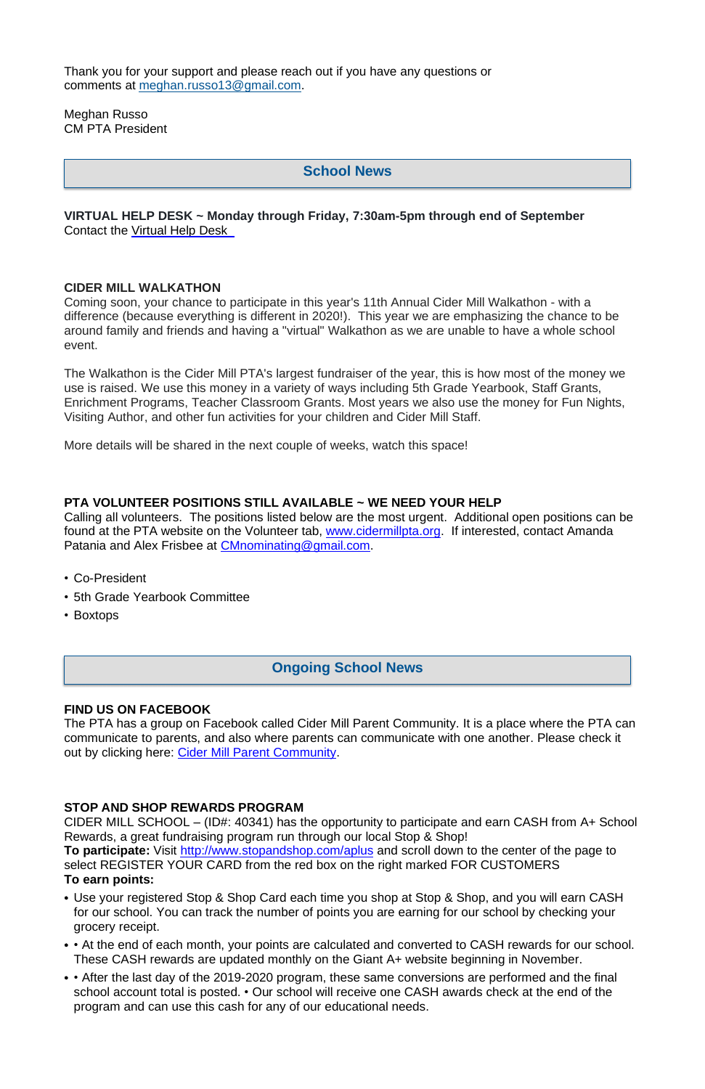Thank you for your support and please reach out if you have any questions or comments at [meghan.russo13@gmail.com.](mailto:meghan.russo13@gmail.com)

Meghan Russo CM PTA President

#### **VIRTUAL HELP DESK ~ Monday through Friday, 7:30am-5pm through end of September** Contact the [Virtual](http://track.spe.schoolmessenger.com/f/a/GPoMgiiIFJFOYqE6DFTQbg~~/AAAAAQA~/RgRhKsa_P0RRaHR0cHM6Ly9kb2NzLmdvb2dsZS5jb20vZm9ybXMvZC8xYlFwR1RoakZ3MVNnYS1tX2xGa3NKelQ1OXVqLWZ2SGJZUkJsV0d2UzRCYy9lZGl0VwdzY2hvb2xtQgoARj-TSV-lP9jOUhtDbGFyaXNzYWNhbm5hdmlub0B5YWhvby5jb21YBAAAAAE~) Help Desk

#### **CIDER MILL WALKATHON**

Coming soon, your chance to participate in this year's 11th Annual Cider Mill Walkathon - with a difference (because everything is different in 2020!). This year we are emphasizing the chance to be around family and friends and having a "virtual" Walkathon as we are unable to have a whole school event.

The PTA has a group on Facebook called Cider Mill Parent Community. It is a place where the PTA can communicate to parents, and also where parents can communicate with one another. Please check it out by clicking here: Cider Mill Parent [Community.](https://www.facebook.com/groups/1168962513117647/)

The Walkathon is the Cider Mill PTA's largest fundraiser of the year, this is how most of the money we use is raised. We use this money in a variety of ways including 5th Grade Yearbook, Staff Grants, Enrichment Programs, Teacher Classroom Grants. Most years we also use the money for Fun Nights, Visiting Author, and other fun activities for your children and Cider Mill Staff.

More details will be shared in the next couple of weeks, watch this space!

#### **PTA VOLUNTEER POSITIONS STILL AVAILABLE ~ WE NEED YOUR HELP**

Calling all volunteers. The positions listed below are the most urgent. Additional open positions can be found at the PTA website on the Volunteer tab, [www.cidermillpta.org.](http://www.cidermillpta.org/) If interested, contact Amanda Patania and Alex Frisbee at [CMnominating@gmail.com.](mailto:CMnominating@gmail.com)

- Co-President
- 5th Grade Yearbook Committee
- Boxtops

#### **FIND US ON FACEBOOK**

#### **STOP AND SHOP REWARDS PROGRAM**

CIDER MILL SCHOOL – (ID#: 40341) has the opportunity to participate and earn CASH from A+ School Rewards, a great fundraising program run through our local Stop & Shop!

**To participate:** Visit <http://www.stopandshop.com/aplus> and scroll down to the center of the page to select REGISTER YOUR CARD from the red box on the right marked FOR CUSTOMERS **To earn points:**

- Use your registered Stop & Shop Card each time you shop at Stop & Shop, and you will earn CASH for our school. You can track the number of points you are earning for our school by checking your grocery receipt.
- • At the end of each month, your points are calculated and converted to CASH rewards for our school. These CASH rewards are updated monthly on the Giant A+ website beginning in November.
- • After the last day of the 2019-2020 program, these same conversions are performed and the final school account total is posted. • Our school will receive one CASH awards check at the end of the program and can use this cash for any of our educational needs.

# **School News**

# **Ongoing School News**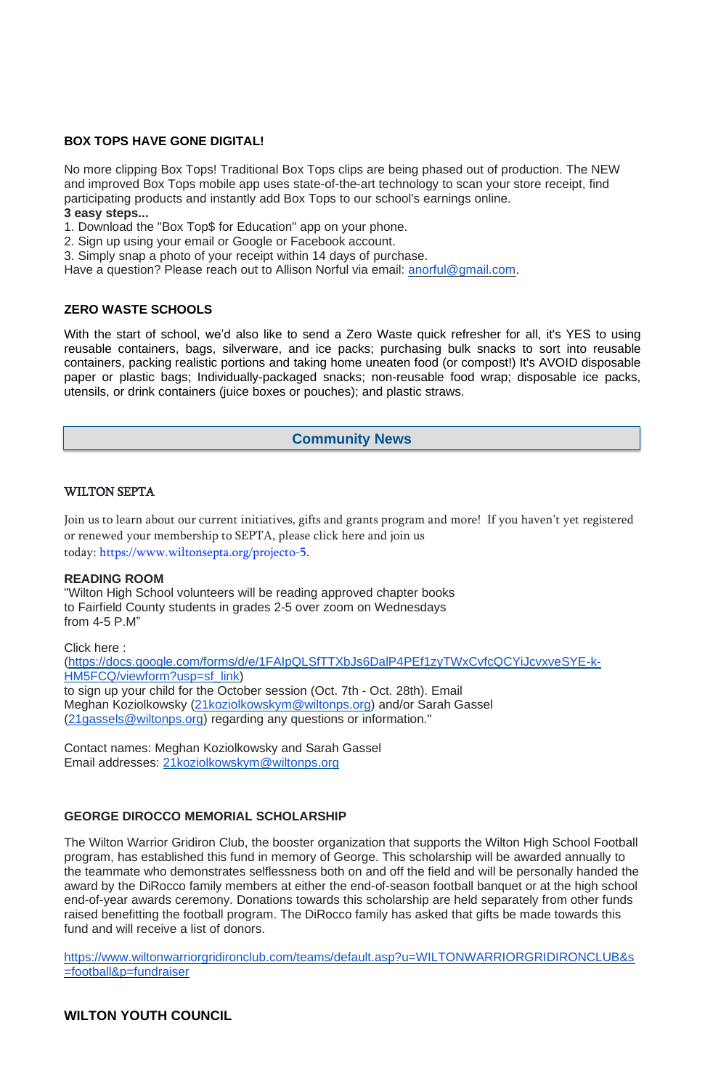### **BOX TOPS HAVE GONE DIGITAL!**

No more clipping Box Tops! Traditional Box Tops clips are being phased out of production. The NEW and improved Box Tops mobile app uses state-of-the-art technology to scan your store receipt, find participating products and instantly add Box Tops to our school's earnings online.

#### **3 easy steps...**

- 1. Download the "Box Top\$ for Education" app on your phone.
- 2. Sign up using your email or Google or Facebook account.
- 3. Simply snap a photo of your receipt within 14 days of purchase.

Have a question? Please reach out to Allison Norful via email: [anorful@gmail.com.](mailto:anorful@gmail.com)

With the start of school, we'd also like to send a Zero Waste quick refresher for all, it's YES to using reusable containers, bags, silverware, and ice packs; purchasing bulk snacks to sort into reusable containers, packing realistic portions and taking home uneaten food (or compost!) It's AVOID disposable paper or plastic bags; Individually-packaged snacks; non-reusable food wrap; disposable ice packs, utensils, or drink containers (juice boxes or pouches); and plastic straws.

#### **ZERO WASTE SCHOOLS**

#### WILTON SEPTA

Join us to learn about our current initiatives, gifts and grants program and more! If you haven't yet registered or renewed your membership to SEPTA, please click here and join us today: [https://www.wiltonsepta.org/projecto-5.](https://www.wiltonsepta.org/projecto-5)

#### **READING ROOM**

"Wilton High School volunteers will be reading approved chapter books to Fairfield County students in grades 2-5 over zoom on Wednesdays from 4-5 P.M"

Click here : [\(https://docs.google.com/forms/d/e/1FAIpQLSfTTXbJs6DalP4PEf1zyTWxCvfcQCYiJcvxveSYE-k-](https://docs.google.com/forms/d/e/1FAIpQLSfTTXbJs6DalP4PEf1zyTWxCvfcQCYiJcvxveSYE-k-HM5FCQ/viewform?usp=sf_link)[HM5FCQ/viewform?usp=sf\\_link\)](https://docs.google.com/forms/d/e/1FAIpQLSfTTXbJs6DalP4PEf1zyTWxCvfcQCYiJcvxveSYE-k-HM5FCQ/viewform?usp=sf_link) to sign up your child for the October session (Oct. 7th - Oct. 28th). Email Meghan Koziolkowsky [\(21koziolkowskym@wiltonps.org\)](mailto:21koziolkowskym@wiltonps.org) and/or Sarah Gassel [\(21gassels@wiltonps.org\)](mailto:21gassels@wiltonps.org) regarding any questions or information."

Contact names: Meghan Koziolkowsky and Sarah Gassel Email addresses: [21koziolkowskym@wiltonps.org](mailto:21koziolkowskym@wiltonps.org)

#### **GEORGE DIROCCO MEMORIAL SCHOLARSHIP**

The Wilton Warrior Gridiron Club, the booster organization that supports the Wilton High School Football program, has established this fund in memory of George. This scholarship will be awarded annually to the teammate who demonstrates selflessness both on and off the field and will be personally handed the award by the DiRocco family members at either the end-of-season football banquet or at the high school end-of-year awards ceremony. Donations towards this scholarship are held separately from other funds raised benefitting the football program. The DiRocco family has asked that gifts be made towards this fund and will receive a list of donors.

[https://www.wiltonwarriorgridironclub.com/teams/default.asp?u=WILTONWARRIORGRIDIRONCLUB&s](https://www.wiltonwarriorgridironclub.com/teams/default.asp?u=WILTONWARRIORGRIDIRONCLUB&s=football&p=fundraiser) [=football&p=fundraiser](https://www.wiltonwarriorgridironclub.com/teams/default.asp?u=WILTONWARRIORGRIDIRONCLUB&s=football&p=fundraiser)

## **WILTON YOUTH COUNCIL**

## **Community News**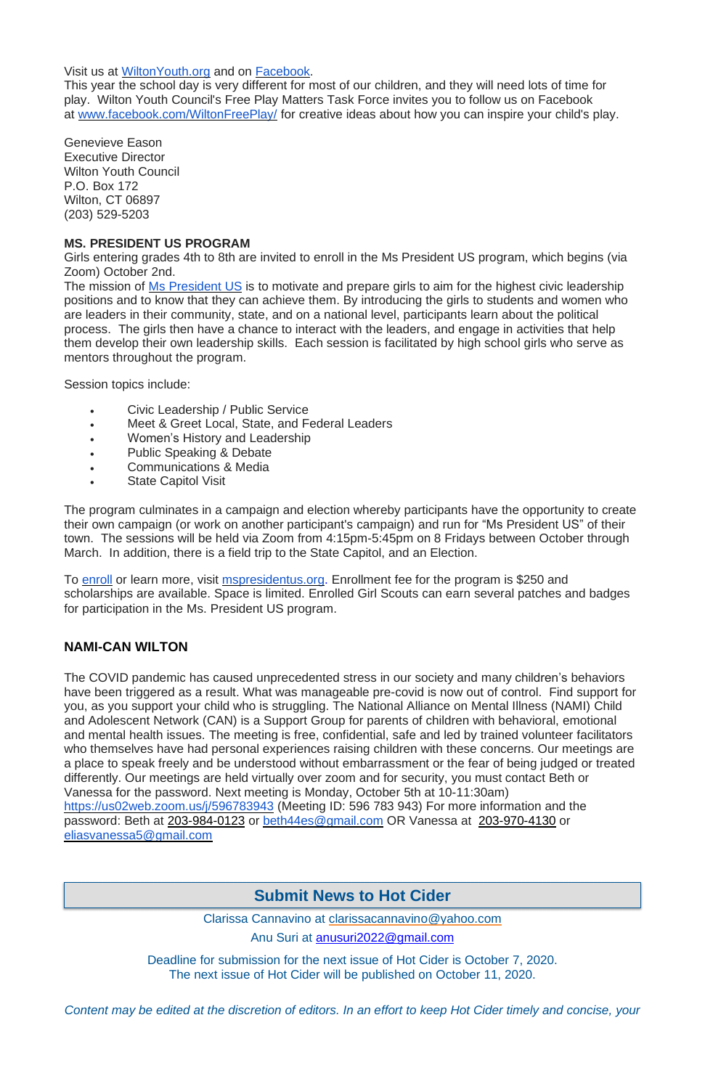Visit us at [WiltonYouth.org](http://wiltonyouth.org/) and on [Facebook.](https://www.facebook.com/WiltonYouthCouncil/)

This year the school day is very different for most of our children, and they will need lots of time for play. Wilton Youth Council's Free Play Matters Task Force invites you to follow us on Facebook at [www.facebook.com/WiltonFreePlay/](http://www.facebook.com/WiltonFreePlay/) for creative ideas about how you can inspire your child's play.

Genevieve Eason Executive Director Wilton Youth Council P.O. Box 172 Wilton, CT 06897 (203) 529-5203

#### **MS. PRESIDENT US PROGRAM**

Girls entering grades 4th to 8th are invited to enroll in the Ms President US program, which begins (via Zoom) October 2nd.

The mission of Ms [President](https://www.mspresidentus.org/) US is to motivate and prepare girls to aim for the highest civic leadership positions and to know that they can achieve them. By introducing the girls to students and women who are leaders in their community, state, and on a national level, participants learn about the political process. The girls then have a chance to interact with the leaders, and engage in activities that help them develop their own leadership skills. Each session is facilitated by high school girls who serve as mentors throughout the program.

- Civic Leadership / Public Service
- Meet & Greet Local, State, and Federal Leaders
- Women's History and Leadership
- Public Speaking & Debate
- Communications & Media
- **State Capitol Visit**

To [enroll](https://www.mspresidentus.org/enroll/girls/) or learn more, visit **[mspresidentus.org.](https://mspresidentus.org/)** Enrollment fee for the program is \$250 and scholarships are available. Space is limited. Enrolled Girl Scouts can earn several patches and badges for participation in the Ms. President US program.

Session topics include:

The program culminates in a campaign and election whereby participants have the opportunity to create their own campaign (or work on another participant's campaign) and run for "Ms President US" of their town. The sessions will be held via Zoom from 4:15pm-5:45pm on 8 Fridays between October through March. In addition, there is a field trip to the State Capitol, and an Election.

## **NAMI-CAN WILTON**

The COVID pandemic has caused unprecedented stress in our society and many children's behaviors have been triggered as a result. What was manageable pre-covid is now out of control. Find support for you, as you support your child who is struggling. The National Alliance on Mental Illness (NAMI) Child and Adolescent Network (CAN) is a Support Group for parents of children with behavioral, emotional and mental health issues. The meeting is free, confidential, safe and led by trained volunteer facilitators who themselves have had personal experiences raising children with these concerns. Our meetings are a place to speak freely and be understood without embarrassment or the fear of being judged or treated differently. Our meetings are held virtually over zoom and for security, you must contact Beth or Vanessa for the password. Next meeting is Monday, October 5th at 10-11:30am)

<https://us02web.zoom.us/j/596783943> (Meeting ID: 596 783 943) For more information and the password: Beth at [203-984-0123](tel:203-984-0123) or [beth44es@gmail.com](mailto:beth44es@gmail.com) OR Vanessa at [203-970-4130](tel:203-970-4130) or [eliasvanessa5@gmail.com](mailto:eliasvanessa5@gmail.com)

Clarissa Cannavino at [clarissacannavino@yahoo.com](mailto:clarissacannavino@yahoo.com)

Anu Suri at [anusuri2022@gmail.com](mailto:anusuri2022@gmail.com) 

Deadline for submission for the next issue of Hot Cider is October 7, 2020. The next issue of Hot Cider will be published on October 11, 2020.

Content may be edited at the discretion of editors. In an effort to keep Hot Cider timely and concise, your

# **Submit News to Hot Cider**